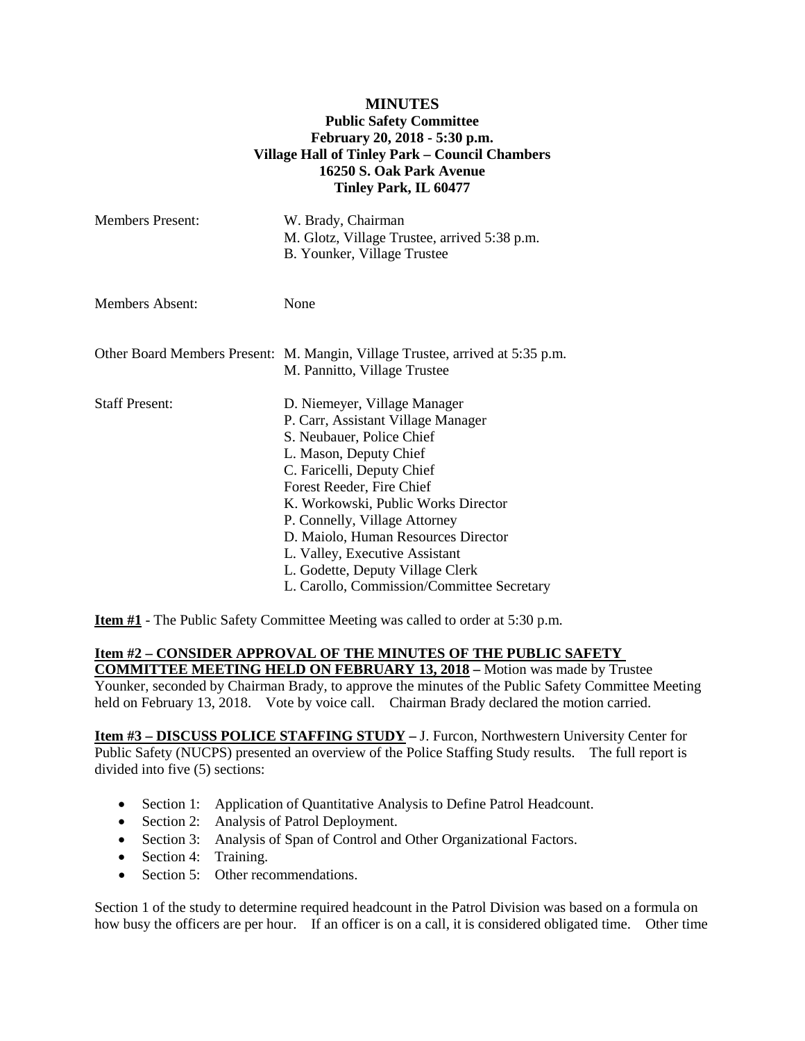## **MINUTES Public Safety Committee February 20, 2018 - 5:30 p.m. Village Hall of Tinley Park – Council Chambers 16250 S. Oak Park Avenue Tinley Park, IL 60477**

| <b>Members Present:</b> | W. Brady, Chairman<br>M. Glotz, Village Trustee, arrived 5:38 p.m.<br>B. Younker, Village Trustee                                                                                                                                                                                                                                                                                                                       |
|-------------------------|-------------------------------------------------------------------------------------------------------------------------------------------------------------------------------------------------------------------------------------------------------------------------------------------------------------------------------------------------------------------------------------------------------------------------|
| <b>Members Absent:</b>  | None                                                                                                                                                                                                                                                                                                                                                                                                                    |
|                         | Other Board Members Present: M. Mangin, Village Trustee, arrived at 5:35 p.m.<br>M. Pannitto, Village Trustee                                                                                                                                                                                                                                                                                                           |
| <b>Staff Present:</b>   | D. Niemeyer, Village Manager<br>P. Carr, Assistant Village Manager<br>S. Neubauer, Police Chief<br>L. Mason, Deputy Chief<br>C. Faricelli, Deputy Chief<br>Forest Reeder, Fire Chief<br>K. Workowski, Public Works Director<br>P. Connelly, Village Attorney<br>D. Maiolo, Human Resources Director<br>L. Valley, Executive Assistant<br>L. Godette, Deputy Village Clerk<br>L. Carollo, Commission/Committee Secretary |

**Item #1** - The Public Safety Committee Meeting was called to order at 5:30 p.m.

## **Item #2 – CONSIDER APPROVAL OF THE MINUTES OF THE PUBLIC SAFETY**

**COMMITTEE MEETING HELD ON FEBRUARY 13, 2018 –** Motion was made by Trustee Younker, seconded by Chairman Brady, to approve the minutes of the Public Safety Committee Meeting held on February 13, 2018. Vote by voice call. Chairman Brady declared the motion carried.

**Item #3 – DISCUSS POLICE STAFFING STUDY –** J. Furcon, Northwestern University Center for Public Safety (NUCPS) presented an overview of the Police Staffing Study results. The full report is divided into five (5) sections:

- Section 1: Application of Quantitative Analysis to Define Patrol Headcount.
- Section 2: Analysis of Patrol Deployment.
- Section 3: Analysis of Span of Control and Other Organizational Factors.
- Section 4: Training.
- Section 5: Other recommendations.

Section 1 of the study to determine required headcount in the Patrol Division was based on a formula on how busy the officers are per hour. If an officer is on a call, it is considered obligated time. Other time